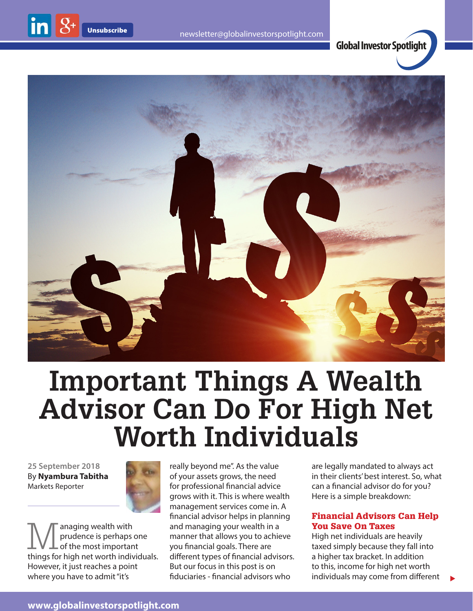**Global Investor Spotlight**



# **Important Things A Wealth Advisor Can Do For High Net Worth Individuals**

**25 September 2018** By **Nyambura Tabitha** Markets Reporter



Managing wealth with<br>of the most important<br>things for high net worth individual prudence is perhaps one of the most important things for high net worth individuals. However, it just reaches a point where you have to admit "it's

really beyond me". As the value of your assets grows, the need for professional financial advice grows with it. This is where wealth management services come in. A financial advisor helps in planning and managing your wealth in a manner that allows you to achieve you financial goals. There are different types of financial advisors. But our focus in this post is on fiduciaries - financial advisors who

are legally mandated to always act in their clients' best interest. So, what can a financial advisor do for you? Here is a simple breakdown:

## Financial Advisors Can Help You Save On Taxes

High net individuals are heavily taxed simply because they fall into a higher tax bracket. In addition to this, income for high net worth individuals may come from different

 $\blacktriangleright$